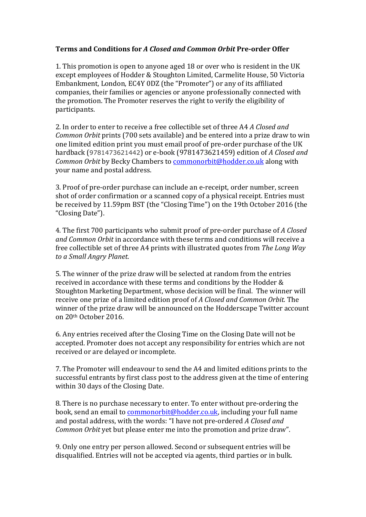## **Terms and Conditions for A Closed and Common Orbit Pre-order Offer**

1. This promotion is open to anyone aged 18 or over who is resident in the UK except employees of Hodder & Stoughton Limited, Carmelite House, 50 Victoria Embankment, London, EC4Y 0DZ (the "Promoter") or any of its affiliated companies, their families or agencies or anyone professionally connected with the promotion. The Promoter reserves the right to verify the eligibility of participants. 

2. In order to enter to receive a free collectible set of three A4 *A Closed and Common Orbit* prints (700 sets available) and be entered into a prize draw to win one limited edition print you must email proof of pre-order purchase of the UK hardback (9781473621442) or e-book (9781473621459) edition of *A Closed and Common Orbit* by Becky Chambers to *commonorbit@hodder.co.uk* along with your name and postal address.

3. Proof of pre-order purchase can include an e-receipt, order number, screen shot of order confirmation or a scanned copy of a physical receipt. Entries must be received by 11.59pm BST (the "Closing Time") on the 19th October 2016 (the "Closing Date").

4. The first 700 participants who submit proof of pre-order purchase of A Closed *and Common Orbit* in accordance with these terms and conditions will receive a free collectible set of three A4 prints with illustrated quotes from *The Long Way to a Small Angry Planet*.

5. The winner of the prize draw will be selected at random from the entries received in accordance with these terms and conditions by the Hodder  $&$ Stoughton Marketing Department, whose decision will be final. The winner will receive one prize of a limited edition proof of A Closed and Common Orbit. The winner of the prize draw will be announced on the Hodderscape Twitter account on 20th October 2016.

6. Any entries received after the Closing Time on the Closing Date will not be accepted. Promoter does not accept any responsibility for entries which are not received or are delayed or incomplete.

7. The Promoter will endeavour to send the A4 and limited editions prints to the successful entrants by first class post to the address given at the time of entering within 30 days of the Closing Date.

8. There is no purchase necessary to enter. To enter without pre-ordering the book, send an email to commonorbit@hodder.co.uk, including your full name and postal address, with the words: "I have not pre-ordered *A Closed and Common Orbit* yet but please enter me into the promotion and prize draw".

9. Only one entry per person allowed. Second or subsequent entries will be disqualified. Entries will not be accepted via agents, third parties or in bulk.